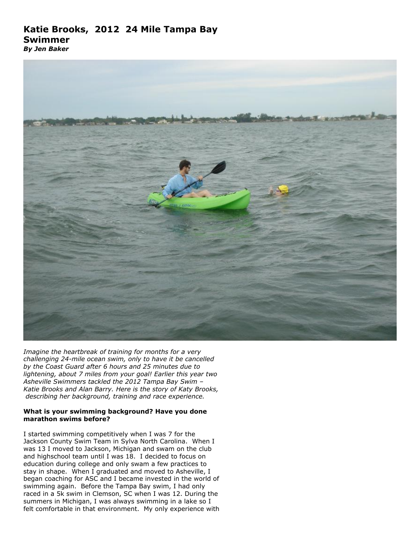# **Katie Brooks, 2012 24 Mile Tampa Bay Swimmer**

*By Jen Baker*



*Imagine the heartbreak of training for months for a very challenging 24-mile ocean swim, only to have it be cancelled by the Coast Guard after 6 hours and 25 minutes due to lightening, about 7 miles from your goal! Earlier this year two Asheville Swimmers tackled the 2012 Tampa Bay Swim – Katie Brooks and Alan Barry. Here is the story of Katy Brooks, describing her background, training and race experience.*

### **What is your swimming background? Have you done marathon swims before?**

I started swimming competitively when I was 7 for the Jackson County Swim Team in Sylva North Carolina. When I was 13 I moved to Jackson, Michigan and swam on the club and highschool team until I was 18. I decided to focus on education during college and only swam a few practices to stay in shape. When I graduated and moved to Asheville, I began coaching for ASC and I became invested in the world of swimming again. Before the Tampa Bay swim, I had only raced in a 5k swim in Clemson, SC when I was 12. During the summers in Michigan, I was always swimming in a lake so I felt comfortable in that environment. My only experience with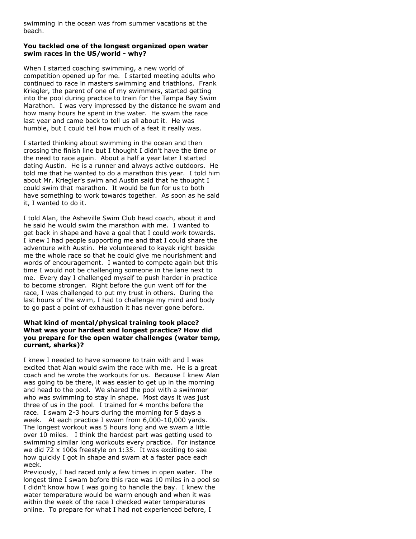swimming in the ocean was from summer vacations at the beach.

#### **You tackled one of the longest organized open water swim races in the US/world - why?**

When I started coaching swimming, a new world of competition opened up for me. I started meeting adults who continued to race in masters swimming and triathlons. Frank Kriegler, the parent of one of my swimmers, started getting into the pool during practice to train for the Tampa Bay Swim Marathon. I was very impressed by the distance he swam and how many hours he spent in the water. He swam the race last year and came back to tell us all about it. He was humble, but I could tell how much of a feat it really was.

I started thinking about swimming in the ocean and then crossing the finish line but I thought I didn't have the time or the need to race again. About a half a year later I started dating Austin. He is a runner and always active outdoors. He told me that he wanted to do a marathon this year. I told him about Mr. Kriegler's swim and Austin said that he thought I could swim that marathon. It would be fun for us to both have something to work towards together. As soon as he said it, I wanted to do it.

I told Alan, the Asheville Swim Club head coach, about it and he said he would swim the marathon with me. I wanted to get back in shape and have a goal that I could work towards. I knew I had people supporting me and that I could share the adventure with Austin. He volunteered to kayak right beside me the whole race so that he could give me nourishment and words of encouragement. I wanted to compete again but this time I would not be challenging someone in the lane next to me. Every day I challenged myself to push harder in practice to become stronger. Right before the gun went off for the race, I was challenged to put my trust in others. During the last hours of the swim, I had to challenge my mind and body to go past a point of exhaustion it has never gone before.

#### **What kind of mental/physical training took place? What was your hardest and longest practice? How did you prepare for the open water challenges (water temp, current, sharks)?**

I knew I needed to have someone to train with and I was excited that Alan would swim the race with me. He is a great coach and he wrote the workouts for us. Because I knew Alan was going to be there, it was easier to get up in the morning and head to the pool. We shared the pool with a swimmer who was swimming to stay in shape. Most days it was just three of us in the pool. I trained for 4 months before the race. I swam 2-3 hours during the morning for 5 days a week. At each practice I swam from 6,000-10,000 yards. The longest workout was 5 hours long and we swam a little over 10 miles. I think the hardest part was getting used to swimming similar long workouts every practice. For instance we did 72 x 100s freestyle on 1:35. It was exciting to see how quickly I got in shape and swam at a faster pace each week.

Previously, I had raced only a few times in open water. The longest time I swam before this race was 10 miles in a pool so I didn't know how I was going to handle the bay. I knew the water temperature would be warm enough and when it was within the week of the race I checked water temperatures online. To prepare for what I had not experienced before, I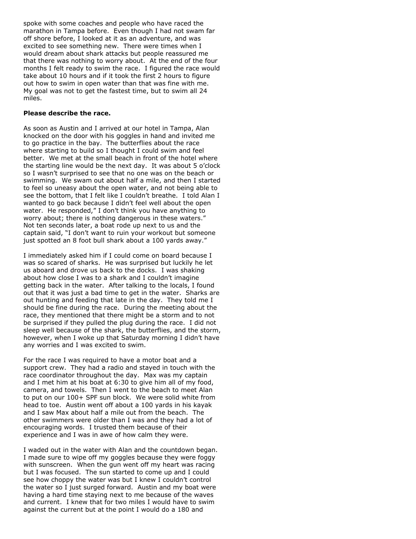spoke with some coaches and people who have raced the marathon in Tampa before. Even though I had not swam far off shore before, I looked at it as an adventure, and was excited to see something new. There were times when I would dream about shark attacks but people reassured me that there was nothing to worry about. At the end of the four months I felt ready to swim the race. I figured the race would take about 10 hours and if it took the first 2 hours to figure out how to swim in open water than that was fine with me. My goal was not to get the fastest time, but to swim all 24 miles.

#### **Please describe the race.**

As soon as Austin and I arrived at our hotel in Tampa, Alan knocked on the door with his goggles in hand and invited me to go practice in the bay. The butterflies about the race where starting to build so I thought I could swim and feel better. We met at the small beach in front of the hotel where the starting line would be the next day. It was about 5 o'clock so I wasn't surprised to see that no one was on the beach or swimming. We swam out about half a mile, and then I started to feel so uneasy about the open water, and not being able to see the bottom, that I felt like I couldn't breathe. I told Alan I wanted to go back because I didn't feel well about the open water. He responded," I don't think you have anything to worry about; there is nothing dangerous in these waters." Not ten seconds later, a boat rode up next to us and the captain said, "I don't want to ruin your workout but someone just spotted an 8 foot bull shark about a 100 yards away."

I immediately asked him if I could come on board because I was so scared of sharks. He was surprised but luckily he let us aboard and drove us back to the docks. I was shaking about how close I was to a shark and I couldn't imagine getting back in the water. After talking to the locals, I found out that it was just a bad time to get in the water. Sharks are out hunting and feeding that late in the day. They told me I should be fine during the race. During the meeting about the race, they mentioned that there might be a storm and to not be surprised if they pulled the plug during the race. I did not sleep well because of the shark, the butterflies, and the storm, however, when I woke up that Saturday morning I didn't have any worries and I was excited to swim.

For the race I was required to have a motor boat and a support crew. They had a radio and stayed in touch with the race coordinator throughout the day. Max was my captain and I met him at his boat at 6:30 to give him all of my food, camera, and towels. Then I went to the beach to meet Alan to put on our 100+ SPF sun block. We were solid white from head to toe. Austin went off about a 100 yards in his kayak and I saw Max about half a mile out from the beach. The other swimmers were older than I was and they had a lot of encouraging words. I trusted them because of their experience and I was in awe of how calm they were.

I waded out in the water with Alan and the countdown began. I made sure to wipe off my goggles because they were foggy with sunscreen. When the gun went off my heart was racing but I was focused. The sun started to come up and I could see how choppy the water was but I knew I couldn't control the water so I just surged forward. Austin and my boat were having a hard time staying next to me because of the waves and current. I knew that for two miles I would have to swim against the current but at the point I would do a 180 and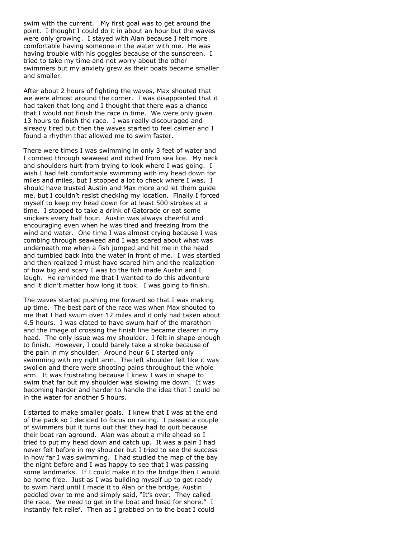swim with the current. My first goal was to get around the point. I thought I could do it in about an hour but the waves were only growing. I stayed with Alan because I felt more comfortable having someone in the water with me. He was having trouble with his goggles because of the sunscreen. I tried to take my time and not worry about the other swimmers but my anxiety grew as their boats became smaller and smaller.

After about 2 hours of fighting the waves, Max shouted that we were almost around the corner. I was disappointed that it had taken that long and I thought that there was a chance that I would not finish the race in time. We were only given 13 hours to finish the race. I was really discouraged and already tired but then the waves started to feel calmer and I found a rhythm that allowed me to swim faster.

There were times I was swimming in only 3 feet of water and I combed through seaweed and itched from sea lice. My neck and shoulders hurt from trying to look where I was going. I wish I had felt comfortable swimming with my head down for miles and miles, but I stopped a lot to check where I was. I should have trusted Austin and Max more and let them guide me, but I couldn't resist checking my location. Finally I forced myself to keep my head down for at least 500 strokes at a time. I stopped to take a drink of Gatorade or eat some snickers every half hour. Austin was always cheerful and encouraging even when he was tired and freezing from the wind and water. One time I was almost crying because I was combing through seaweed and I was scared about what was underneath me when a fish jumped and hit me in the head and tumbled back into the water in front of me. I was startled and then realized I must have scared him and the realization of how big and scary I was to the fish made Austin and I laugh. He reminded me that I wanted to do this adventure and it didn't matter how long it took. I was going to finish.

The waves started pushing me forward so that I was making up time. The best part of the race was when Max shouted to me that I had swum over 12 miles and it only had taken about 4.5 hours. I was elated to have swum half of the marathon and the image of crossing the finish line became clearer in my head. The only issue was my shoulder. I felt in shape enough to finish. However, I could barely take a stroke because of the pain in my shoulder. Around hour 6 I started only swimming with my right arm. The left shoulder felt like it was swollen and there were shooting pains throughout the whole arm. It was frustrating because I knew I was in shape to swim that far but my shoulder was slowing me down. It was becoming harder and harder to handle the idea that I could be in the water for another 5 hours.

I started to make smaller goals. I knew that I was at the end of the pack so I decided to focus on racing. I passed a couple of swimmers but it turns out that they had to quit because their boat ran aground. Alan was about a mile ahead so I tried to put my head down and catch up. It was a pain I had never felt before in my shoulder but I tried to see the success in how far I was swimming. I had studied the map of the bay the night before and I was happy to see that I was passing some landmarks. If I could make it to the bridge then I would be home free. Just as I was building myself up to get ready to swim hard until I made it to Alan or the bridge, Austin paddled over to me and simply said, "It's over. They called the race. We need to get in the boat and head for shore." I instantly felt relief. Then as I grabbed on to the boat I could